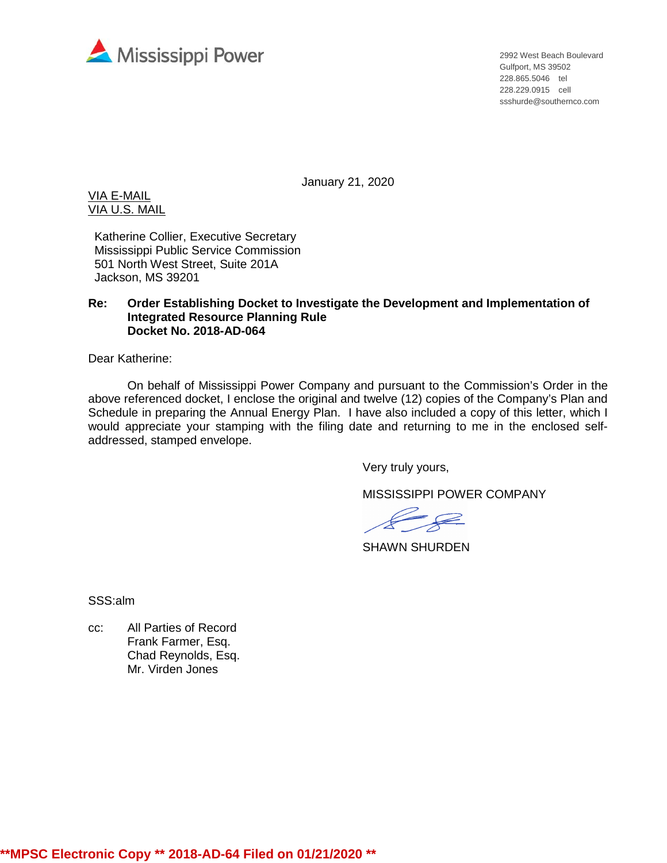

2992 West Beach Boulevard Gulfport, MS 39502 228.865.5046 tel 228.229.0915 cell ssshurde@southernco.com

January 21, 2020

VIA E-MAIL VIA U.S. MAIL

Katherine Collier, Executive Secretary Mississippi Public Service Commission 501 North West Street, Suite 201A Jackson, MS 39201

#### **Re: Order Establishing Docket to Investigate the Development and Implementation of Integrated Resource Planning Rule Docket No. 2018-AD-064**

Dear Katherine:

On behalf of Mississippi Power Company and pursuant to the Commission's Order in the above referenced docket, I enclose the original and twelve (12) copies of the Company's Plan and Schedule in preparing the Annual Energy Plan. I have also included a copy of this letter, which I would appreciate your stamping with the filing date and returning to me in the enclosed selfaddressed, stamped envelope.

Very truly yours,

MISSISSIPPI POWER COMPANY

 $\ell$ 

SHAWN SHURDEN

SSS:alm

cc: All Parties of Record Frank Farmer, Esq. Chad Reynolds, Esq. Mr. Virden Jones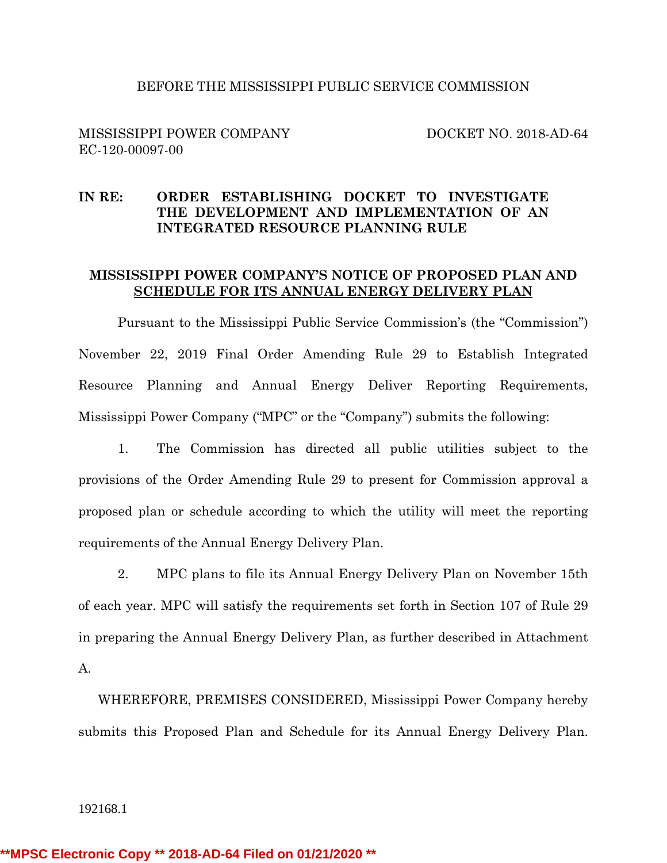#### BEFORE THE MISSISSIPPI PUBLIC SERVICE COMMISSION

#### MISSISSIPPI POWER COMPANY DOCKET NO. 2018-AD-64 EC-120-00097-00

#### **IN RE: ORDER ESTABLISHING DOCKET TO INVESTIGATE THE DEVELOPMENT AND IMPLEMENTATION OF AN INTEGRATED RESOURCE PLANNING RULE**

#### **MISSISSIPPI POWER COMPANY'S NOTICE OF PROPOSED PLAN AND SCHEDULE FOR ITS ANNUAL ENERGY DELIVERY PLAN**

Pursuant to the Mississippi Public Service Commission's (the "Commission") November 22, 2019 Final Order Amending Rule 29 to Establish Integrated Resource Planning and Annual Energy Deliver Reporting Requirements, Mississippi Power Company ("MPC" or the "Company") submits the following:

1. The Commission has directed all public utilities subject to the provisions of the Order Amending Rule 29 to present for Commission approval a proposed plan or schedule according to which the utility will meet the reporting requirements of the Annual Energy Delivery Plan.

2. MPC plans to file its Annual Energy Delivery Plan on November 15th of each year. MPC will satisfy the requirements set forth in Section 107 of Rule 29 in preparing the Annual Energy Delivery Plan, as further described in Attachment A.

WHEREFORE, PREMISES CONSIDERED, Mississippi Power Company hereby submits this Proposed Plan and Schedule for its Annual Energy Delivery Plan.

192168.1

**\*\*MPSC Electronic Copy \*\* 2018-AD-64 Filed on 01/21/2020 \*\***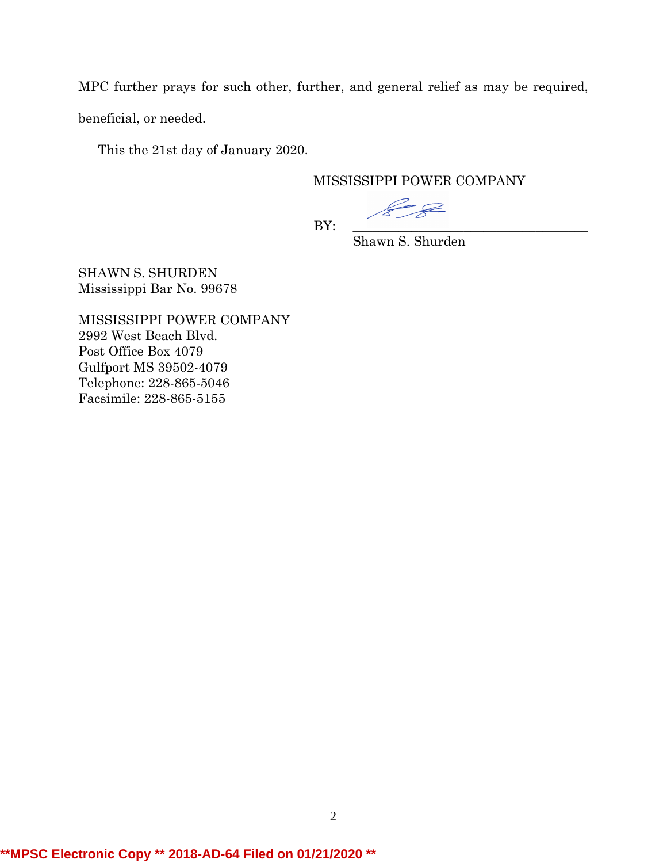MPC further prays for such other, further, and general relief as may be required,

beneficial, or needed.

This the 21st day of January 2020.

#### MISSISSIPPI POWER COMPANY

PR

BY: \_\_\_\_\_\_\_\_\_\_\_\_\_\_\_\_\_\_\_\_\_\_\_\_\_\_\_\_\_\_\_\_\_\_\_\_

Shawn S. Shurden

SHAWN S. SHURDEN Mississippi Bar No. 99678

MISSISSIPPI POWER COMPANY 2992 West Beach Blvd. Post Office Box 4079 Gulfport MS 39502-4079 Telephone: 228-865-5046 Facsimile: 228-865-5155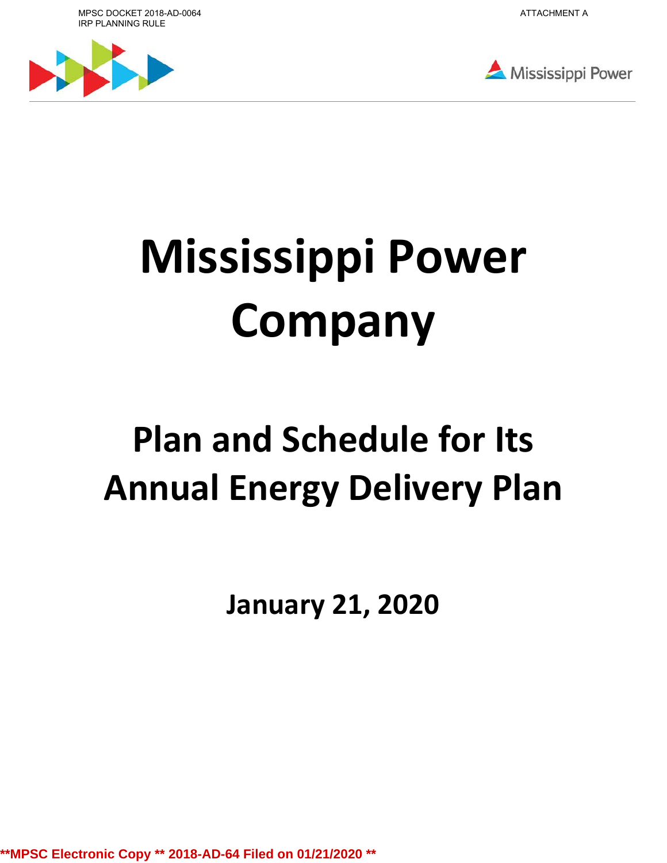MPSC DOCKET 2018-AD-0064 IRP PLANNING RULE







# **Mississippi Power Company**

# **Plan and Schedule for Its Annual Energy Delivery Plan**

**January 21, 2020**

**\*\*MPSC Electronic Copy \*\* 2018-AD-64 Filed on 01/21/2020 \*\***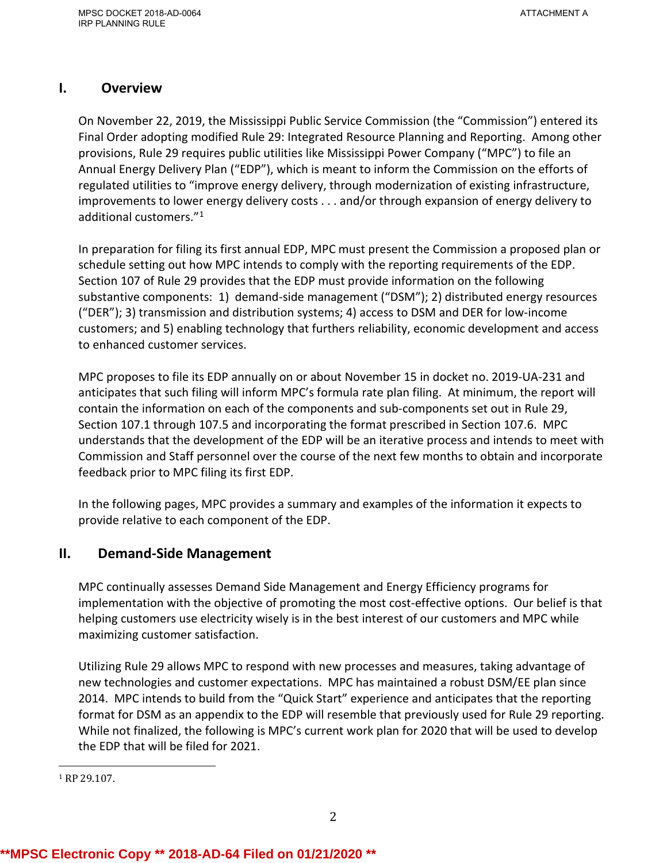# **I. Overview**

On November 22, 2019, the Mississippi Public Service Commission (the "Commission") entered its Final Order adopting modified Rule 29: Integrated Resource Planning and Reporting. Among other provisions, Rule 29 requires public utilities like Mississippi Power Company ("MPC") to file an Annual Energy Delivery Plan ("EDP"), which is meant to inform the Commission on the efforts of regulated utilities to "improve energy delivery, through modernization of existing infrastructure, improvements to lower energy delivery costs . . . and/or through expansion of energy delivery to additional customers."1

In preparation for filing its first annual EDP, MPC must present the Commission a proposed plan or schedule setting out how MPC intends to comply with the reporting requirements of the EDP. Section 107 of Rule 29 provides that the EDP must provide information on the following substantive components: 1) demand-side management ("DSM"); 2) distributed energy resources ("DER"); 3) transmission and distribution systems; 4) access to DSM and DER for low-income customers; and 5) enabling technology that furthers reliability, economic development and access to enhanced customer services.

MPC proposes to file its EDP annually on or about November 15 in docket no. 2019-UA-231 and anticipates that such filing will inform MPC's formula rate plan filing. At minimum, the report will contain the information on each of the components and sub-components set out in Rule 29, Section 107.1 through 107.5 and incorporating the format prescribed in Section 107.6. MPC understands that the development of the EDP will be an iterative process and intends to meet with Commission and Staff personnel over the course of the next few months to obtain and incorporate feedback prior to MPC filing its first EDP.

In the following pages, MPC provides a summary and examples of the information it expects to provide relative to each component of the EDP.

# **II. Demand-Side Management**

MPC continually assesses Demand Side Management and Energy Efficiency programs for implementation with the objective of promoting the most cost-effective options. Our belief is that helping customers use electricity wisely is in the best interest of our customers and MPC while maximizing customer satisfaction.

Utilizing Rule 29 allows MPC to respond with new processes and measures, taking advantage of new technologies and customer expectations. MPC has maintained a robust DSM/EE plan since 2014. MPC intends to build from the "Quick Start" experience and anticipates that the reporting format for DSM as an appendix to the EDP will resemble that previously used for Rule 29 reporting. While not finalized, the following is MPC's current work plan for 2020 that will be used to develop the EDP that will be filed for 2021.

i<br>I  $1$  RP 29.107.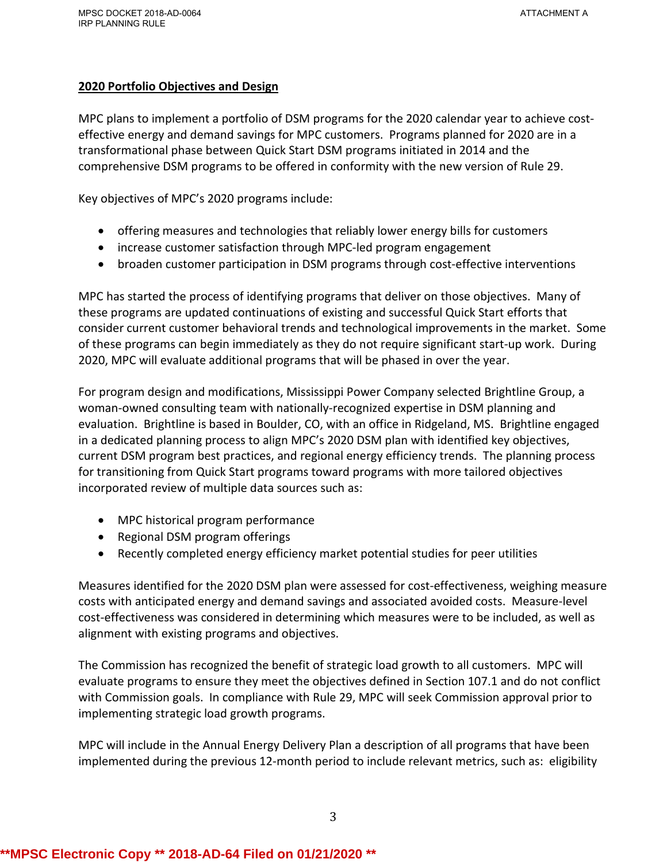#### **2020 Portfolio Objectives and Design**

MPC plans to implement a portfolio of DSM programs for the 2020 calendar year to achieve costeffective energy and demand savings for MPC customers. Programs planned for 2020 are in a transformational phase between Quick Start DSM programs initiated in 2014 and the comprehensive DSM programs to be offered in conformity with the new version of Rule 29.

Key objectives of MPC's 2020 programs include:

- offering measures and technologies that reliably lower energy bills for customers
- increase customer satisfaction through MPC-led program engagement
- broaden customer participation in DSM programs through cost-effective interventions

MPC has started the process of identifying programs that deliver on those objectives. Many of these programs are updated continuations of existing and successful Quick Start efforts that consider current customer behavioral trends and technological improvements in the market. Some of these programs can begin immediately as they do not require significant start-up work. During 2020, MPC will evaluate additional programs that will be phased in over the year.

For program design and modifications, Mississippi Power Company selected Brightline Group, a woman-owned consulting team with nationally-recognized expertise in DSM planning and evaluation. Brightline is based in Boulder, CO, with an office in Ridgeland, MS. Brightline engaged in a dedicated planning process to align MPC's 2020 DSM plan with identified key objectives, current DSM program best practices, and regional energy efficiency trends. The planning process for transitioning from Quick Start programs toward programs with more tailored objectives incorporated review of multiple data sources such as:

- MPC historical program performance
- Regional DSM program offerings
- Recently completed energy efficiency market potential studies for peer utilities

Measures identified for the 2020 DSM plan were assessed for cost-effectiveness, weighing measure costs with anticipated energy and demand savings and associated avoided costs. Measure-level cost-effectiveness was considered in determining which measures were to be included, as well as alignment with existing programs and objectives.

The Commission has recognized the benefit of strategic load growth to all customers. MPC will evaluate programs to ensure they meet the objectives defined in Section 107.1 and do not conflict with Commission goals. In compliance with Rule 29, MPC will seek Commission approval prior to implementing strategic load growth programs.

MPC will include in the Annual Energy Delivery Plan a description of all programs that have been implemented during the previous 12-month period to include relevant metrics, such as: eligibility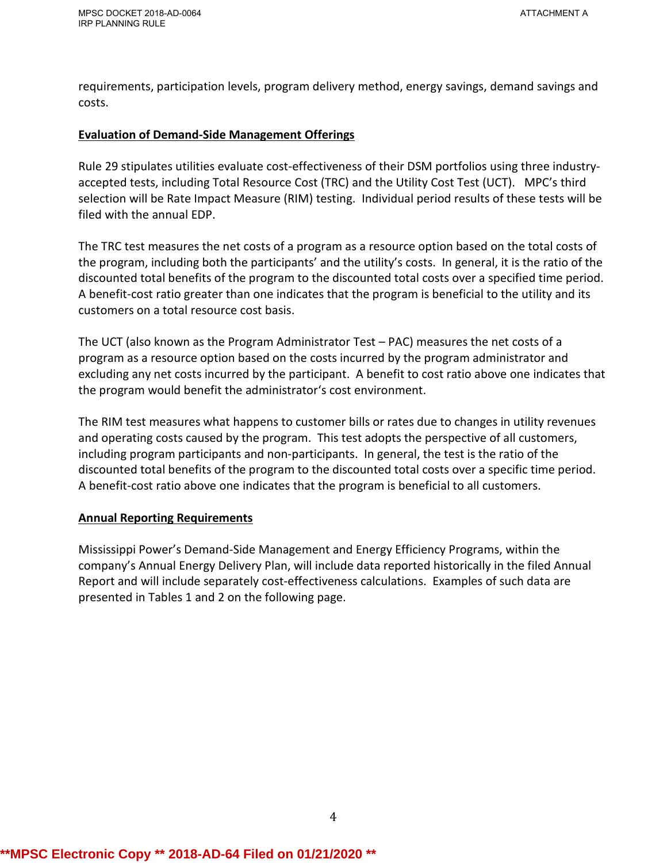requirements, participation levels, program delivery method, energy savings, demand savings and costs.

#### **Evaluation of Demand-Side Management Offerings**

Rule 29 stipulates utilities evaluate cost-effectiveness of their DSM portfolios using three industryaccepted tests, including Total Resource Cost (TRC) and the Utility Cost Test (UCT). MPC's third selection will be Rate Impact Measure (RIM) testing. Individual period results of these tests will be filed with the annual EDP.

The TRC test measures the net costs of a program as a resource option based on the total costs of the program, including both the participants' and the utility's costs. In general, it is the ratio of the discounted total benefits of the program to the discounted total costs over a specified time period. A benefit-cost ratio greater than one indicates that the program is beneficial to the utility and its customers on a total resource cost basis.

The UCT (also known as the Program Administrator Test – PAC) measures the net costs of a program as a resource option based on the costs incurred by the program administrator and excluding any net costs incurred by the participant. A benefit to cost ratio above one indicates that the program would benefit the administrator's cost environment.

The RIM test measures what happens to customer bills or rates due to changes in utility revenues and operating costs caused by the program. This test adopts the perspective of all customers, including program participants and non-participants. In general, the test is the ratio of the discounted total benefits of the program to the discounted total costs over a specific time period. A benefit-cost ratio above one indicates that the program is beneficial to all customers.

#### **Annual Reporting Requirements**

Mississippi Power's Demand-Side Management and Energy Efficiency Programs, within the company's Annual Energy Delivery Plan, will include data reported historically in the filed Annual Report and will include separately cost-effectiveness calculations. Examples of such data are presented in Tables 1 and 2 on the following page.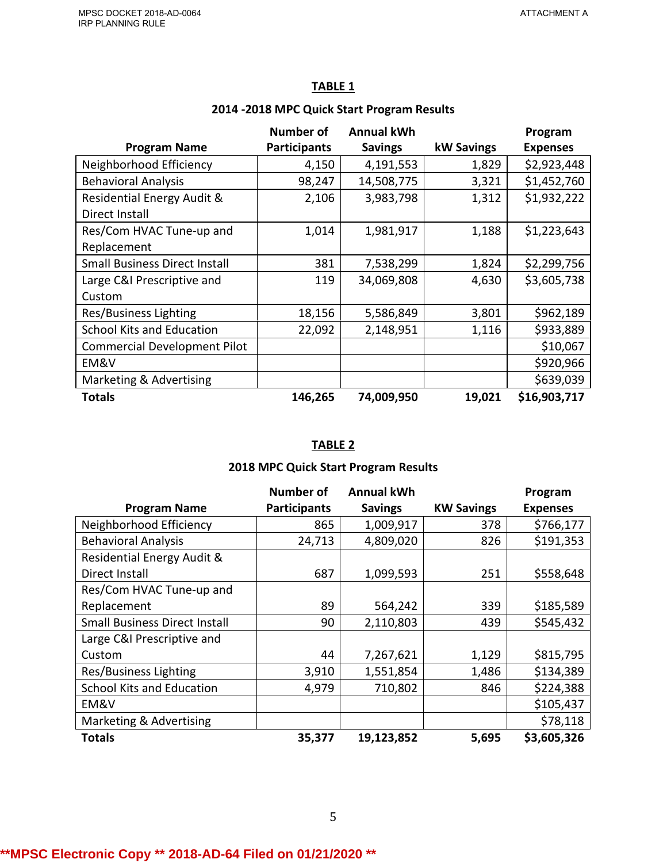|                                      | <b>Number of</b>    | <b>Annual kWh</b> |                   | Program         |
|--------------------------------------|---------------------|-------------------|-------------------|-----------------|
| <b>Program Name</b>                  | <b>Participants</b> | <b>Savings</b>    | <b>kW Savings</b> | <b>Expenses</b> |
| Neighborhood Efficiency              | 4,150               | 4,191,553         | 1,829             | \$2,923,448     |
| <b>Behavioral Analysis</b>           | 98,247              | 14,508,775        | 3,321             | \$1,452,760     |
| Residential Energy Audit &           | 2,106               | 3,983,798         | 1,312             | \$1,932,222     |
| Direct Install                       |                     |                   |                   |                 |
| Res/Com HVAC Tune-up and             | 1,014               | 1,981,917         | 1,188             | \$1,223,643     |
| Replacement                          |                     |                   |                   |                 |
| <b>Small Business Direct Install</b> | 381                 | 7,538,299         | 1,824             | \$2,299,756     |
| Large C&I Prescriptive and           | 119                 | 34,069,808        | 4,630             | \$3,605,738     |
| Custom                               |                     |                   |                   |                 |
| Res/Business Lighting                | 18,156              | 5,586,849         | 3,801             | \$962,189       |
| <b>School Kits and Education</b>     | 22,092              | 2,148,951         | 1,116             | \$933,889       |
| <b>Commercial Development Pilot</b>  |                     |                   |                   | \$10,067        |
| EM&V                                 |                     |                   |                   | \$920,966       |
| Marketing & Advertising              |                     |                   |                   | \$639,039       |
| <b>Totals</b>                        | 146,265             | 74,009,950        | 19,021            | \$16,903,717    |

## **TABLE 1**

#### **2014 -2018 MPC Quick Start Program Results**

# **TABLE 2**

### **2018 MPC Quick Start Program Results**

|                                      | <b>Number of</b>    | <b>Annual kWh</b> |                   | Program         |
|--------------------------------------|---------------------|-------------------|-------------------|-----------------|
| <b>Program Name</b>                  | <b>Participants</b> | <b>Savings</b>    | <b>KW Savings</b> | <b>Expenses</b> |
| Neighborhood Efficiency              | 865                 | 1,009,917         | 378               | \$766,177       |
| <b>Behavioral Analysis</b>           | 24,713              | 4,809,020         | 826               | \$191,353       |
| Residential Energy Audit &           |                     |                   |                   |                 |
| Direct Install                       | 687                 | 1,099,593         | 251               | \$558,648       |
| Res/Com HVAC Tune-up and             |                     |                   |                   |                 |
| Replacement                          | 89                  | 564,242           | 339               | \$185,589       |
| <b>Small Business Direct Install</b> | 90                  | 2,110,803         | 439               | \$545,432       |
| Large C&I Prescriptive and           |                     |                   |                   |                 |
| Custom                               | 44                  | 7,267,621         | 1,129             | \$815,795       |
| Res/Business Lighting                | 3,910               | 1,551,854         | 1,486             | \$134,389       |
| <b>School Kits and Education</b>     | 4,979               | 710,802           | 846               | \$224,388       |
| EM&V                                 |                     |                   |                   | \$105,437       |
| Marketing & Advertising              |                     |                   |                   | \$78,118        |
| <b>Totals</b>                        | 35,377              | 19,123,852        | 5,695             | \$3,605,326     |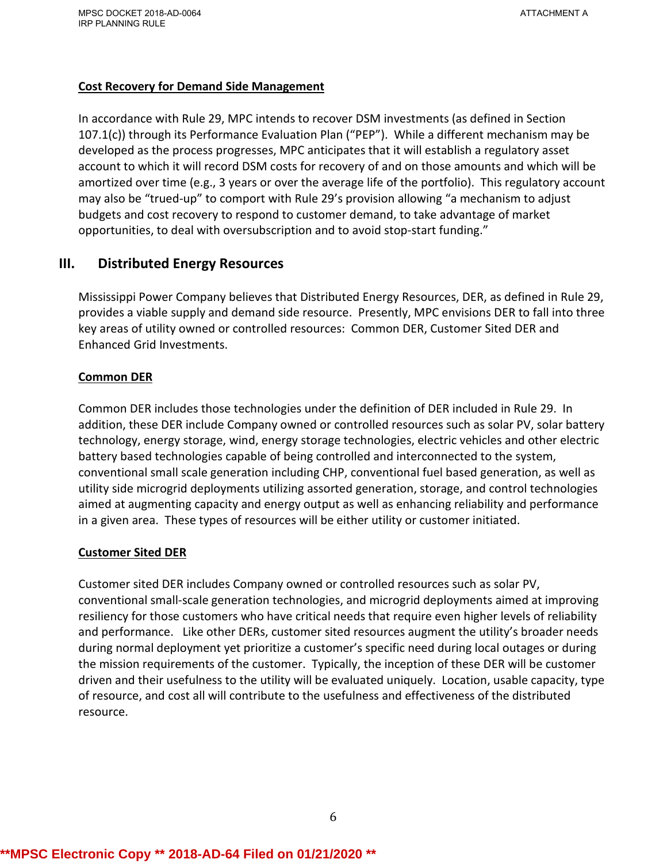#### **Cost Recovery for Demand Side Management**

In accordance with Rule 29, MPC intends to recover DSM investments (as defined in Section 107.1(c)) through its Performance Evaluation Plan ("PEP"). While a different mechanism may be developed as the process progresses, MPC anticipates that it will establish a regulatory asset account to which it will record DSM costs for recovery of and on those amounts and which will be amortized over time (e.g., 3 years or over the average life of the portfolio). This regulatory account may also be "trued-up" to comport with Rule 29's provision allowing "a mechanism to adjust budgets and cost recovery to respond to customer demand, to take advantage of market opportunities, to deal with oversubscription and to avoid stop-start funding."

# **III. Distributed Energy Resources**

Mississippi Power Company believes that Distributed Energy Resources, DER, as defined in Rule 29, provides a viable supply and demand side resource. Presently, MPC envisions DER to fall into three key areas of utility owned or controlled resources: Common DER, Customer Sited DER and Enhanced Grid Investments.

#### **Common DER**

Common DER includes those technologies under the definition of DER included in Rule 29. In addition, these DER include Company owned or controlled resources such as solar PV, solar battery technology, energy storage, wind, energy storage technologies, electric vehicles and other electric battery based technologies capable of being controlled and interconnected to the system, conventional small scale generation including CHP, conventional fuel based generation, as well as utility side microgrid deployments utilizing assorted generation, storage, and control technologies aimed at augmenting capacity and energy output as well as enhancing reliability and performance in a given area. These types of resources will be either utility or customer initiated.

#### **Customer Sited DER**

Customer sited DER includes Company owned or controlled resources such as solar PV, conventional small-scale generation technologies, and microgrid deployments aimed at improving resiliency for those customers who have critical needs that require even higher levels of reliability and performance. Like other DERs, customer sited resources augment the utility's broader needs during normal deployment yet prioritize a customer's specific need during local outages or during the mission requirements of the customer. Typically, the inception of these DER will be customer driven and their usefulness to the utility will be evaluated uniquely. Location, usable capacity, type of resource, and cost all will contribute to the usefulness and effectiveness of the distributed resource.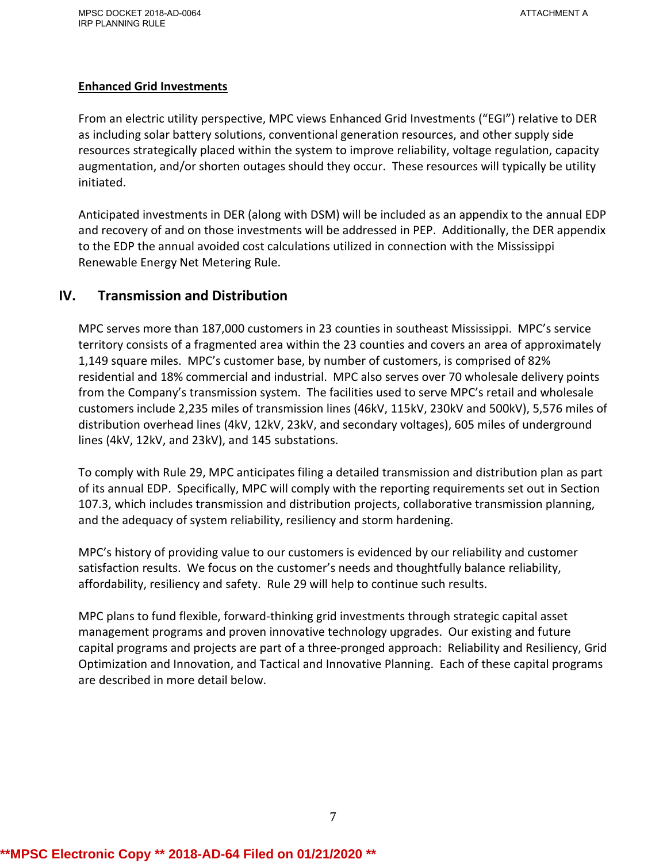#### **Enhanced Grid Investments**

From an electric utility perspective, MPC views Enhanced Grid Investments ("EGI") relative to DER as including solar battery solutions, conventional generation resources, and other supply side resources strategically placed within the system to improve reliability, voltage regulation, capacity augmentation, and/or shorten outages should they occur. These resources will typically be utility initiated.

Anticipated investments in DER (along with DSM) will be included as an appendix to the annual EDP and recovery of and on those investments will be addressed in PEP. Additionally, the DER appendix to the EDP the annual avoided cost calculations utilized in connection with the Mississippi Renewable Energy Net Metering Rule.

# **IV. Transmission and Distribution**

MPC serves more than 187,000 customers in 23 counties in southeast Mississippi. MPC's service territory consists of a fragmented area within the 23 counties and covers an area of approximately 1,149 square miles. MPC's customer base, by number of customers, is comprised of 82% residential and 18% commercial and industrial. MPC also serves over 70 wholesale delivery points from the Company's transmission system. The facilities used to serve MPC's retail and wholesale customers include 2,235 miles of transmission lines (46kV, 115kV, 230kV and 500kV), 5,576 miles of distribution overhead lines (4kV, 12kV, 23kV, and secondary voltages), 605 miles of underground lines (4kV, 12kV, and 23kV), and 145 substations.

To comply with Rule 29, MPC anticipates filing a detailed transmission and distribution plan as part of its annual EDP. Specifically, MPC will comply with the reporting requirements set out in Section 107.3, which includes transmission and distribution projects, collaborative transmission planning, and the adequacy of system reliability, resiliency and storm hardening.

MPC's history of providing value to our customers is evidenced by our reliability and customer satisfaction results. We focus on the customer's needs and thoughtfully balance reliability, affordability, resiliency and safety. Rule 29 will help to continue such results.

MPC plans to fund flexible, forward-thinking grid investments through strategic capital asset management programs and proven innovative technology upgrades. Our existing and future capital programs and projects are part of a three-pronged approach: Reliability and Resiliency, Grid Optimization and Innovation, and Tactical and Innovative Planning. Each of these capital programs are described in more detail below.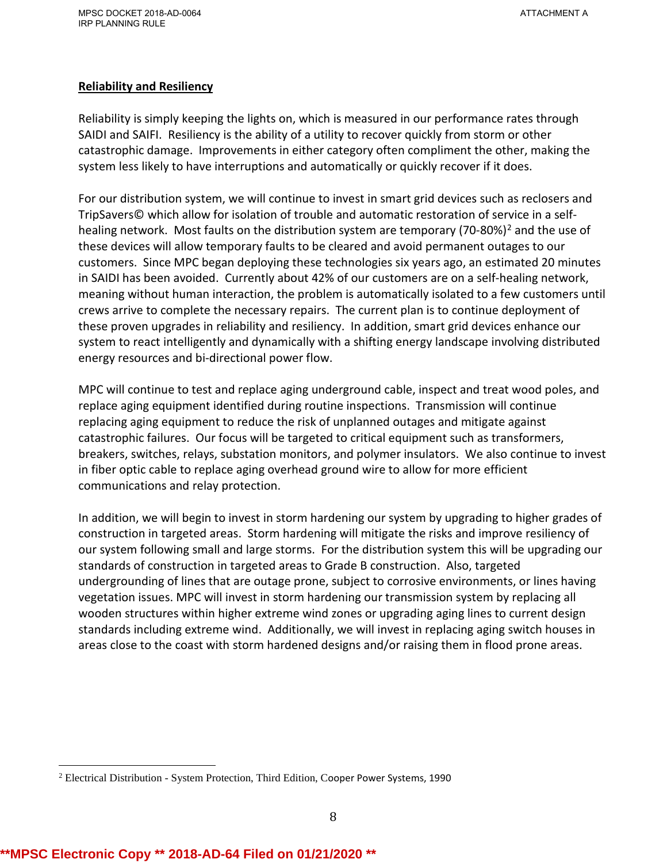#### **Reliability and Resiliency**

Reliability is simply keeping the lights on, which is measured in our performance rates through SAIDI and SAIFI. Resiliency is the ability of a utility to recover quickly from storm or other catastrophic damage. Improvements in either category often compliment the other, making the system less likely to have interruptions and automatically or quickly recover if it does.

For our distribution system, we will continue to invest in smart grid devices such as reclosers and TripSavers© which allow for isolation of trouble and automatic restoration of service in a selfhealing network. Most faults on the distribution system are temporary (70-80%)<sup>2</sup> and the use of these devices will allow temporary faults to be cleared and avoid permanent outages to our customers. Since MPC began deploying these technologies six years ago, an estimated 20 minutes in SAIDI has been avoided. Currently about 42% of our customers are on a self-healing network, meaning without human interaction, the problem is automatically isolated to a few customers until crews arrive to complete the necessary repairs. The current plan is to continue deployment of these proven upgrades in reliability and resiliency. In addition, smart grid devices enhance our system to react intelligently and dynamically with a shifting energy landscape involving distributed energy resources and bi-directional power flow.

MPC will continue to test and replace aging underground cable, inspect and treat wood poles, and replace aging equipment identified during routine inspections. Transmission will continue replacing aging equipment to reduce the risk of unplanned outages and mitigate against catastrophic failures. Our focus will be targeted to critical equipment such as transformers, breakers, switches, relays, substation monitors, and polymer insulators. We also continue to invest in fiber optic cable to replace aging overhead ground wire to allow for more efficient communications and relay protection.

In addition, we will begin to invest in storm hardening our system by upgrading to higher grades of construction in targeted areas. Storm hardening will mitigate the risks and improve resiliency of our system following small and large storms. For the distribution system this will be upgrading our standards of construction in targeted areas to Grade B construction. Also, targeted undergrounding of lines that are outage prone, subject to corrosive environments, or lines having vegetation issues. MPC will invest in storm hardening our transmission system by replacing all wooden structures within higher extreme wind zones or upgrading aging lines to current design standards including extreme wind. Additionally, we will invest in replacing aging switch houses in areas close to the coast with storm hardened designs and/or raising them in flood prone areas.

 $\overline{\phantom{a}}$  $2$  Electrical Distribution - System Protection, Third Edition, Cooper Power Systems, 1990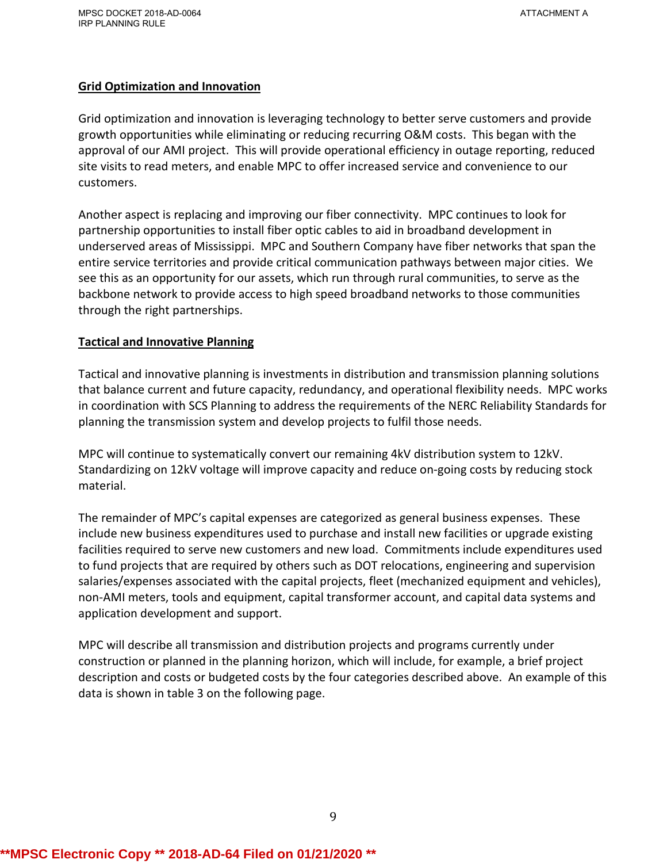#### **Grid Optimization and Innovation**

Grid optimization and innovation is leveraging technology to better serve customers and provide growth opportunities while eliminating or reducing recurring O&M costs. This began with the approval of our AMI project. This will provide operational efficiency in outage reporting, reduced site visits to read meters, and enable MPC to offer increased service and convenience to our customers.

Another aspect is replacing and improving our fiber connectivity. MPC continues to look for partnership opportunities to install fiber optic cables to aid in broadband development in underserved areas of Mississippi. MPC and Southern Company have fiber networks that span the entire service territories and provide critical communication pathways between major cities. We see this as an opportunity for our assets, which run through rural communities, to serve as the backbone network to provide access to high speed broadband networks to those communities through the right partnerships.

#### **Tactical and Innovative Planning**

Tactical and innovative planning is investments in distribution and transmission planning solutions that balance current and future capacity, redundancy, and operational flexibility needs. MPC works in coordination with SCS Planning to address the requirements of the NERC Reliability Standards for planning the transmission system and develop projects to fulfil those needs.

MPC will continue to systematically convert our remaining 4kV distribution system to 12kV. Standardizing on 12kV voltage will improve capacity and reduce on-going costs by reducing stock material.

The remainder of MPC's capital expenses are categorized as general business expenses. These include new business expenditures used to purchase and install new facilities or upgrade existing facilities required to serve new customers and new load. Commitments include expenditures used to fund projects that are required by others such as DOT relocations, engineering and supervision salaries/expenses associated with the capital projects, fleet (mechanized equipment and vehicles), non-AMI meters, tools and equipment, capital transformer account, and capital data systems and application development and support.

MPC will describe all transmission and distribution projects and programs currently under construction or planned in the planning horizon, which will include, for example, a brief project description and costs or budgeted costs by the four categories described above. An example of this data is shown in table 3 on the following page.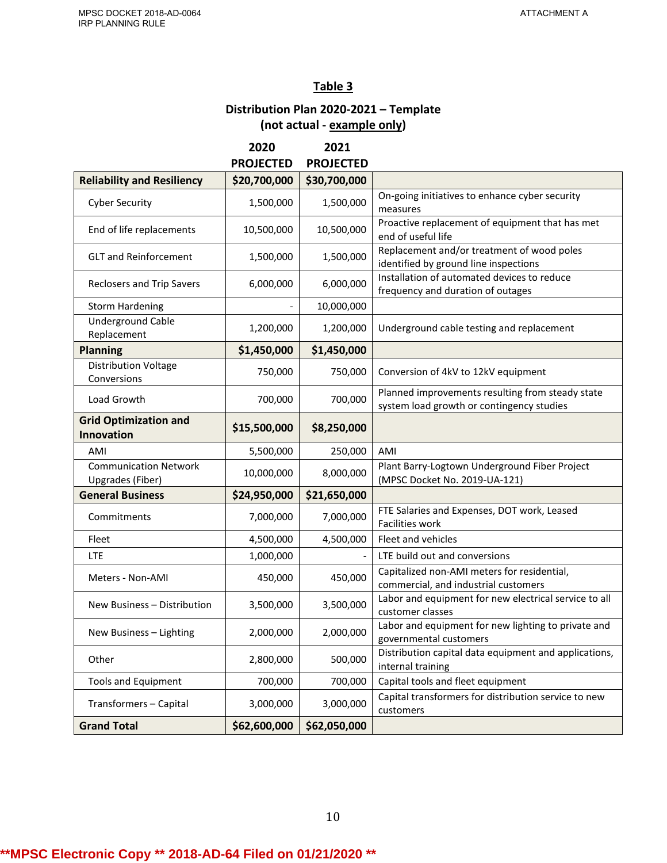# **Table 3**

# **Distribution Plan 2020-2021 – Template (not actual - example only)**

|                                                   | 2020             | 2021             |                                                                                               |
|---------------------------------------------------|------------------|------------------|-----------------------------------------------------------------------------------------------|
|                                                   | <b>PROJECTED</b> | <b>PROJECTED</b> |                                                                                               |
| <b>Reliability and Resiliency</b>                 | \$20,700,000     | \$30,700,000     |                                                                                               |
| <b>Cyber Security</b>                             | 1,500,000        | 1,500,000        | On-going initiatives to enhance cyber security<br>measures                                    |
| End of life replacements                          | 10,500,000       | 10,500,000       | Proactive replacement of equipment that has met<br>end of useful life                         |
| <b>GLT and Reinforcement</b>                      | 1,500,000        | 1,500,000        | Replacement and/or treatment of wood poles<br>identified by ground line inspections           |
| <b>Reclosers and Trip Savers</b>                  | 6,000,000        | 6,000,000        | Installation of automated devices to reduce<br>frequency and duration of outages              |
| <b>Storm Hardening</b>                            |                  | 10,000,000       |                                                                                               |
| <b>Underground Cable</b><br>Replacement           | 1,200,000        | 1,200,000        | Underground cable testing and replacement                                                     |
| <b>Planning</b>                                   | \$1,450,000      | \$1,450,000      |                                                                                               |
| <b>Distribution Voltage</b><br>Conversions        | 750,000          | 750,000          | Conversion of 4kV to 12kV equipment                                                           |
| Load Growth                                       | 700,000          | 700,000          | Planned improvements resulting from steady state<br>system load growth or contingency studies |
| <b>Grid Optimization and</b><br><b>Innovation</b> | \$15,500,000     | \$8,250,000      |                                                                                               |
| AMI                                               | 5,500,000        | 250,000          | AMI                                                                                           |
| <b>Communication Network</b><br>Upgrades (Fiber)  | 10,000,000       | 8,000,000        | Plant Barry-Logtown Underground Fiber Project<br>(MPSC Docket No. 2019-UA-121)                |
| <b>General Business</b>                           | \$24,950,000     | \$21,650,000     |                                                                                               |
| Commitments                                       | 7,000,000        | 7,000,000        | FTE Salaries and Expenses, DOT work, Leased<br>Facilities work                                |
| Fleet                                             | 4,500,000        | 4,500,000        | Fleet and vehicles                                                                            |
| <b>LTE</b>                                        | 1,000,000        |                  | LTE build out and conversions                                                                 |
| Meters - Non-AMI                                  | 450,000          | 450,000          | Capitalized non-AMI meters for residential,<br>commercial, and industrial customers           |
| New Business - Distribution                       | 3,500,000        | 3,500,000        | Labor and equipment for new electrical service to all<br>customer classes                     |
| New Business - Lighting                           | 2,000,000        | 2,000,000        | Labor and equipment for new lighting to private and<br>governmental customers                 |
| Other                                             | 2,800,000        | 500,000          | Distribution capital data equipment and applications,<br>internal training                    |
| <b>Tools and Equipment</b>                        | 700,000          | 700,000          | Capital tools and fleet equipment                                                             |
| Transformers - Capital                            | 3,000,000        | 3,000,000        | Capital transformers for distribution service to new<br>customers                             |
| <b>Grand Total</b>                                | \$62,600,000     | \$62,050,000     |                                                                                               |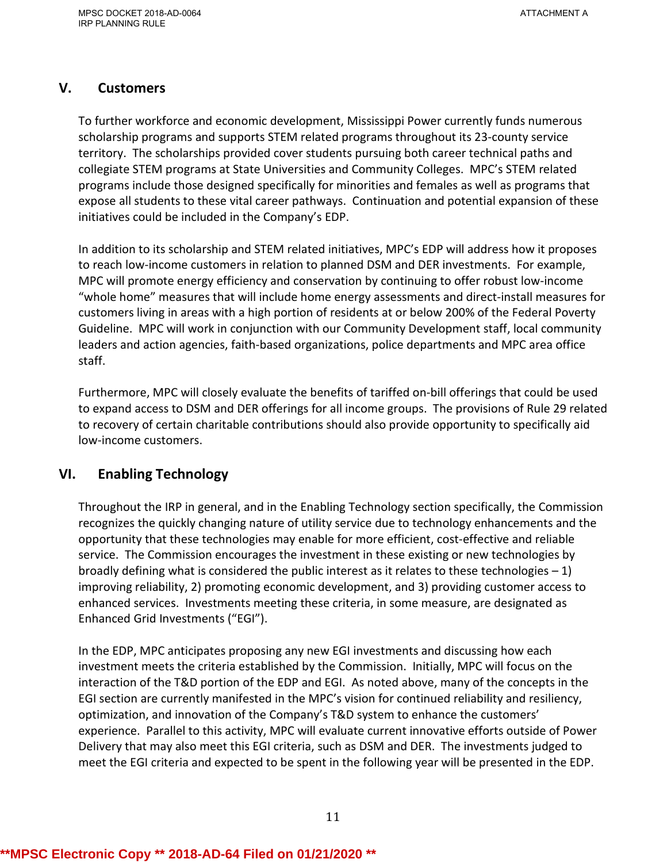# **V. Customers**

To further workforce and economic development, Mississippi Power currently funds numerous scholarship programs and supports STEM related programs throughout its 23-county service territory. The scholarships provided cover students pursuing both career technical paths and collegiate STEM programs at State Universities and Community Colleges. MPC's STEM related programs include those designed specifically for minorities and females as well as programs that expose all students to these vital career pathways. Continuation and potential expansion of these initiatives could be included in the Company's EDP.

In addition to its scholarship and STEM related initiatives, MPC's EDP will address how it proposes to reach low-income customers in relation to planned DSM and DER investments. For example, MPC will promote energy efficiency and conservation by continuing to offer robust low-income "whole home" measures that will include home energy assessments and direct-install measures for customers living in areas with a high portion of residents at or below 200% of the Federal Poverty Guideline. MPC will work in conjunction with our Community Development staff, local community leaders and action agencies, faith-based organizations, police departments and MPC area office staff.

Furthermore, MPC will closely evaluate the benefits of tariffed on-bill offerings that could be used to expand access to DSM and DER offerings for all income groups. The provisions of Rule 29 related to recovery of certain charitable contributions should also provide opportunity to specifically aid low-income customers.

# **VI. Enabling Technology**

Throughout the IRP in general, and in the Enabling Technology section specifically, the Commission recognizes the quickly changing nature of utility service due to technology enhancements and the opportunity that these technologies may enable for more efficient, cost-effective and reliable service. The Commission encourages the investment in these existing or new technologies by broadly defining what is considered the public interest as it relates to these technologies  $-1$ ) improving reliability, 2) promoting economic development, and 3) providing customer access to enhanced services. Investments meeting these criteria, in some measure, are designated as Enhanced Grid Investments ("EGI").

In the EDP, MPC anticipates proposing any new EGI investments and discussing how each investment meets the criteria established by the Commission. Initially, MPC will focus on the interaction of the T&D portion of the EDP and EGI. As noted above, many of the concepts in the EGI section are currently manifested in the MPC's vision for continued reliability and resiliency, optimization, and innovation of the Company's T&D system to enhance the customers' experience. Parallel to this activity, MPC will evaluate current innovative efforts outside of Power Delivery that may also meet this EGI criteria, such as DSM and DER. The investments judged to meet the EGI criteria and expected to be spent in the following year will be presented in the EDP.

# **\*\*MPSC Electronic Copy \*\* 2018-AD-64 Filed on 01/21/2020 \*\***